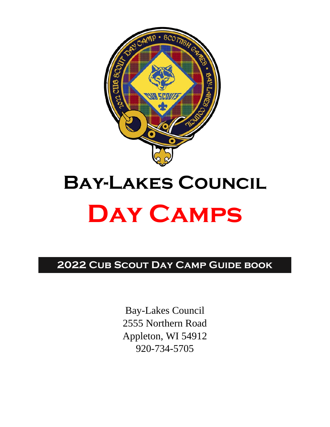

# **Bay-Lakes Council Day Camps**

**2022 Cub Scout Day Camp Guide book**

Bay-Lakes Council 2555 Northern Road Appleton, WI 54912 920-734-5705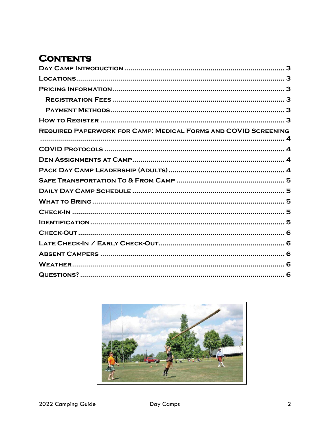# **CONTENTS**

| <b>REQUIRED PAPERWORK FOR CAMP: MEDICAL FORMS AND COVID SCREENING</b> |
|-----------------------------------------------------------------------|
|                                                                       |
|                                                                       |
|                                                                       |
|                                                                       |
|                                                                       |
|                                                                       |
|                                                                       |
|                                                                       |
|                                                                       |
|                                                                       |
|                                                                       |
|                                                                       |
|                                                                       |
|                                                                       |

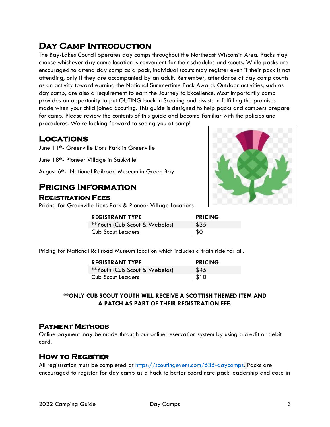# <span id="page-2-0"></span>**Day Camp Introduction**

The Bay-Lakes Council operates day camps throughout the Northeast Wisconsin Area. Packs may choose whichever day camp location is convenient for their schedules and scouts. While packs are encouraged to attend day camp as a pack, individual scouts may register even if their pack is not attending, only if they are accompanied by an adult. Remember, attendance at day camp counts as an activity toward earning the National Summertime Pack Award. Outdoor activities, such as day camp, are also a requirement to earn the Journey to Excellence. Most importantly camp provides an opportunity to put OUTING back in Scouting and assists in fulfilling the promises made when your child joined Scouting. This guide is designed to help packs and campers prepare for camp. Please review the contents of this guide and become familiar with the policies and procedures. We're looking forward to seeing you at camp!

# <span id="page-2-1"></span>**Locations**

June 11<sup>th</sup>- Greenville Lions Park in Greenville

June 18<sup>th</sup>- Pioneer Village in Saukville

August 6<sup>th</sup>- National Railroad Museum in Green Bay

# <span id="page-2-2"></span>**Pricing Information**

## <span id="page-2-3"></span>**Registration Fees**

Pricing for Greenville Lions Park & Pioneer Village Locations



| <b>REGISTRANT TYPE</b>        | <b>PRICING</b> |
|-------------------------------|----------------|
| **Youth (Cub Scout & Webelos) | \$35           |
| <b>Cub Scout Leaders</b>      | \$0            |

Pricing for National Railroad Museum location which includes a train ride for all.

| <b>REGISTRANT TYPE</b>        | <b>PRICING</b> |
|-------------------------------|----------------|
| **Youth (Cub Scout & Webelos) | \$45           |
| <b>Cub Scout Leaders</b>      | \$10           |

#### **\*\*ONLY CUB SCOUT YOUTH WILL RECEIVE A SCOTTISH THEMED ITEM AND A PATCH AS PART OF THEIR REGISTRATION FEE.**

## <span id="page-2-4"></span>**Payment Methods**

Online payment may be made through our online reservation system by using a credit or debit card.

## <span id="page-2-5"></span>**How to Register**

All registration must be completed at<https://scoutingevent.com/635-daycamps>. Packs are encouraged to register for day camp as a Pack to better coordinate pack leadership and ease in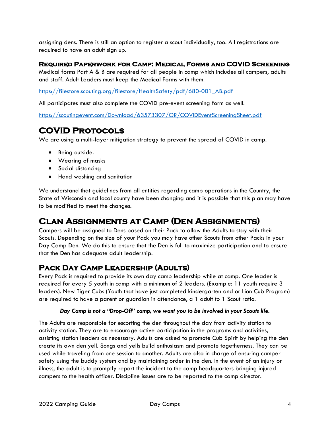assigning dens. There is still an option to register a scout individually, too. All registrations are required to have an adult sign up.

#### <span id="page-3-0"></span>**Required Paperwork for Camp: Medical Forms and COVID Screening**

Medical forms Part A & B are required for all people in camp which includes all campers, adults and staff. Adult Leaders must keep the Medical Forms with them!

[https://filestore.scouting.org/filestore/HealthSafety/pdf/680-001\\_AB.pdf](https://filestore.scouting.org/filestore/HealthSafety/pdf/680-001_AB.pdf)

All participates must also complete the COVID pre-event screening form as well.

<https://scoutingevent.com/Download/63573307/OR/COVIDEventScreeningSheet.pdf>

# <span id="page-3-1"></span>**COVID Protocols**

We are using a multi-layer mitigation strategy to prevent the spread of COVID in camp.

- Being outside.
- Wearing of masks
- Social distancing
- Hand washing and sanitation

We understand that guidelines from all entities regarding camp operations in the Country, the State of Wisconsin and local county have been changing and it is possible that this plan may have to be modified to meet the changes.

# <span id="page-3-2"></span>**Clan Assignments at Camp (Den Assignments)**

Campers will be assigned to Dens based on their Pack to allow the Adults to stay with their Scouts. Depending on the size of your Pack you may have other Scouts from other Packs in your Day Camp Den. We do this to ensure that the Den is full to maximize participation and to ensure that the Den has adequate adult leadership.

## <span id="page-3-3"></span>**Pack Day Camp Leadership (Adults)**

Every Pack is required to provide its own day camp leadership while at camp. One leader is required for every 5 youth in camp with a minimum of 2 leaders. (Example: 11 youth require 3 leaders). New Tiger Cubs (Youth that have just completed kindergarten and or Lion Cub Program) are required to have a parent or guardian in attendance, a 1 adult to 1 Scout ratio.

#### *Day Camp is not a "Drop-Off" camp, we want you to be involved in your Scouts life.*

The Adults are responsible for escorting the den throughout the day from activity station to activity station. They are to encourage active participation in the programs and activities, assisting station leaders as necessary. Adults are asked to promote Cub Spirit by helping the den create its own den yell. Songs and yells build enthusiasm and promote togetherness. They can be used while traveling from one session to another. Adults are also in charge of ensuring camper safety using the buddy system and by maintaining order in the den. In the event of an injury or illness, the adult is to promptly report the incident to the camp headquarters bringing injured campers to the health officer. Discipline issues are to be reported to the camp director.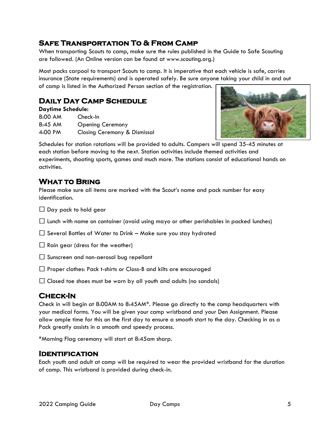# <span id="page-4-0"></span>**Safe Transportation To & From Camp**

When transporting Scouts to camp, make sure the rules published in the Guide to Safe Scouting are followed. (An Online version can be found at www.scouting.org.)

Most packs carpool to transport Scouts to camp. It is imperative that each vehicle is safe, carries insurance (State requirements) and is operated safely. Be sure anyone taking your child in and out of camp is listed in the Authorized Person section of the registration.

# <span id="page-4-1"></span>**Daily Day Camp Schedule**

| <b>Daytime Schedule:</b> |                              |  |
|--------------------------|------------------------------|--|
| 8:00 AM                  | Check-In                     |  |
| 8:45 AM                  | <b>Opening Ceremony</b>      |  |
| 4:00 PM                  | Closing Ceremony & Dismissal |  |



Schedules for station rotations will be provided to adults. Campers will spend 35-45 minutes at each station before moving to the next. Station activities include themed activities and experiments, shooting sports, games and much more. The stations consist of educational hands on activities.

# <span id="page-4-2"></span>**What to Bring**

Please make sure all items are marked with the Scout's name and pack number for easy identification.

 $\Box$  Day pack to hold gear

 $\Box$  Lunch with name on container (avoid using mayo or other perishables in packed lunches)

 $\Box$  Several Bottles of Water to Drink – Make sure you stay hydrated

 $\Box$  Rain gear (dress for the weather)

 $\Box$  Sunscreen and non-aerosol bug repellant

 $\Box$  Proper clothes: Pack t-shirts or Class-B and kilts are encouraged

 $\Box$  Closed toe shoes must be worn by all youth and adults (no sandals)

# <span id="page-4-3"></span>**Check-In**

Check in will begin at 8:00AM to 8:45AM\*. Please go directly to the camp headquarters with your medical forms. You will be given your camp wristband and your Den Assignment. Please allow ample time for this on the first day to ensure a smooth start to the day. Checking in as a Pack greatly assists in a smooth and speedy process.

\*Morning Flag ceremony will start at 8:45am sharp.

## <span id="page-4-4"></span>**Identification**

Each youth and adult at camp will be required to wear the provided wristband for the duration of camp. This wristband is provided during check-in.